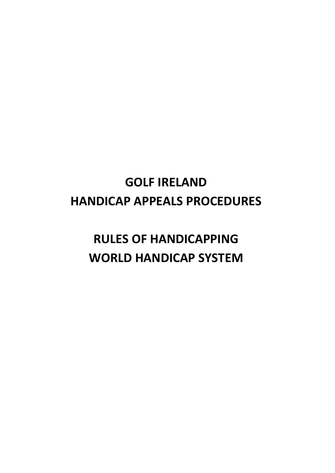## **GOLF IRELAND HANDICAP APPEALS PROCEDURES**

## **RULES OF HANDICAPPING WORLD HANDICAP SYSTEM**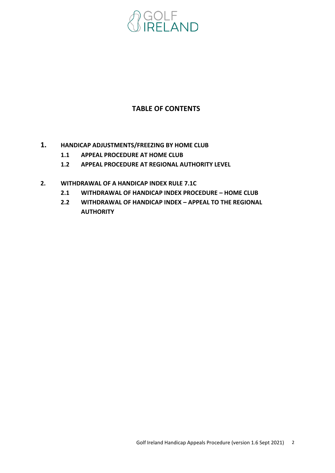

### **TABLE OF CONTENTS**

- **1. HANDICAP ADJUSTMENTS/FREEZING BY HOME CLUB**
	- **1.1 APPEAL PROCEDURE AT HOME CLUB**
	- **1.2 APPEAL PROCEDURE AT REGIONAL AUTHORITY LEVEL**
- **2. WITHDRAWAL OF A HANDICAP INDEX RULE 7.1C**
	- **2.1 WITHDRAWAL OF HANDICAP INDEX PROCEDURE – HOME CLUB**
	- **2.2 WITHDRAWAL OF HANDICAP INDEX – APPEAL TO THE REGIONAL AUTHORITY**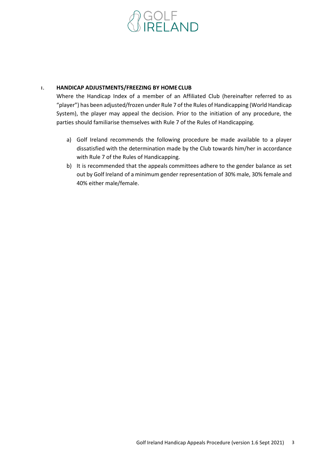# **GOLF<br>IRELAND**

#### **1. HANDICAP ADJUSTMENTS/FREEZING BY HOME CLUB**

Where the Handicap Index of a member of an Affiliated Club (hereinafter referred to as "player") has been adjusted/frozen under Rule 7 of the Rules of Handicapping (World Handicap System), the player may appeal the decision. Prior to the initiation of any procedure, the parties should familiarise themselves with Rule 7 of the Rules of Handicapping.

- a) Golf Ireland recommends the following procedure be made available to a player dissatisfied with the determination made by the Club towards him/her in accordance with Rule 7 of the Rules of Handicapping.
- b) It is recommended that the appeals committees adhere to the gender balance as set out by Golf Ireland of a minimum gender representation of 30% male, 30% female and 40% either male/female.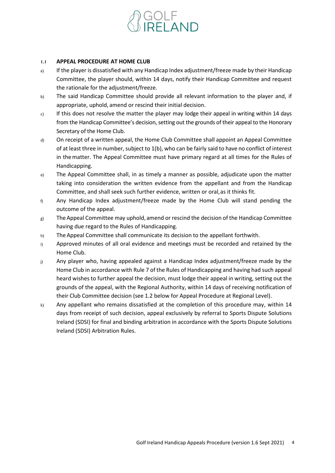# <sub>aulf</sub><br>Ireland

#### **1.1 APPEAL PROCEDURE AT HOME CLUB**

- a) If the player is dissatisfied with any Handicap Index adjustment/freeze made by their Handicap Committee, the player should, within 14 days, notify their Handicap Committee and request the rationale for the adjustment/freeze.
- b) The said Handicap Committee should provide all relevant information to the player and, if appropriate, uphold, amend or rescind their initial decision.
- c) If this does not resolve the matter the player may lodge their appeal in writing within 14 days from the Handicap Committee's decision, setting out the grounds of their appeal to the Honorary Secretary of the Home Club.
- d) On receipt of a written appeal, the Home Club Committee shall appoint an Appeal Committee of at least three in number, subject to 1(b), who can be fairly said to have no conflict of interest in thematter. The Appeal Committee must have primary regard at all times for the Rules of Handicapping.
- e) The Appeal Committee shall, in as timely a manner as possible, adjudicate upon the matter taking into consideration the written evidence from the appellant and from the Handicap Committee, and shall seek such further evidence, written or oral,as it thinks fit.
- f) Any Handicap Index adjustment/freeze made by the Home Club will stand pending the outcome of the appeal.
- $g$  The Appeal Committee may uphold, amend or rescind the decision of the Handicap Committee having due regard to the Rules of Handicapping.
- h) The Appeal Committee shall communicate its decision to the appellant forthwith.
- i) Approved minutes of all oral evidence and meetings must be recorded and retained by the Home Club.
- $j$  Any player who, having appealed against a Handicap Index adjustment/freeze made by the Home Club in accordance with Rule 7 of the Rules of Handicapping and having had such appeal heard wishes to further appeal the decision, must lodge their appeal in writing, setting out the grounds of the appeal, with the Regional Authority, within 14 days of receiving notification of their Club Committee decision (see 1.2 below for Appeal Procedure at Regional Level).
- k) Any appellant who remains dissatisfied at the completion of this procedure may, within 14 days from receipt of such decision, appeal exclusively by referral to Sports Dispute Solutions Ireland (SDSI) for final and binding arbitration in accordance with the Sports Dispute Solutions Ireland (SDSI) Arbitration Rules.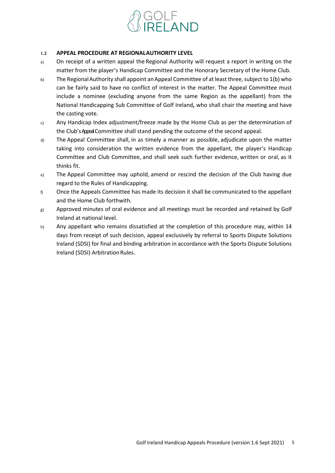

#### **1.2 APPEAL PROCEDURE AT REGIONALAUTHORITY LEVEL**

- a) On receipt of a written appeal the Regional Authority will request a report in writing on the matter from the player's Handicap Committee and the Honorary Secretary of the Home Club.
- b) The Regional Authority shall appoint an Appeal Committee of at least three, subject to 1(b) who can be fairly said to have no conflict of interest in the matter. The Appeal Committee must include a nominee (excluding anyone from the same Region as the appellant) from the National Handicapping Sub Committee of Golf Ireland**,** who shall chair the meeting and have the casting vote.
- c) Any Handicap Index adjustment/freeze made by the Home Club as per the determination of the Club'sAppealCommittee shall stand pending the outcome of the second appeal.
- d) The Appeal Committee shall, in as timely a manner as possible, adjudicate upon the matter taking into consideration the written evidence from the appellant, the player's Handicap Committee and Club Committee, and shall seek such further evidence, written or oral, as it thinks fit.
- e) The Appeal Committee may uphold, amend or rescind the decision of the Club having due regard to the Rules of Handicapping.
- $f<sub>0</sub>$  Once the Appeals Committee has made its decision it shall be communicated to the appellant and the Home Club forthwith.
- $g$ ) Approved minutes of oral evidence and all meetings must be recorded and retained by Golf Ireland at national level.
- h) Any appellant who remains dissatisfied at the completion of this procedure may, within 14 days from receipt of such decision, appeal exclusively by referral to Sports Dispute Solutions Ireland (SDSI) for final and binding arbitration in accordance with the Sports Dispute Solutions Ireland (SDSI) Arbitration Rules.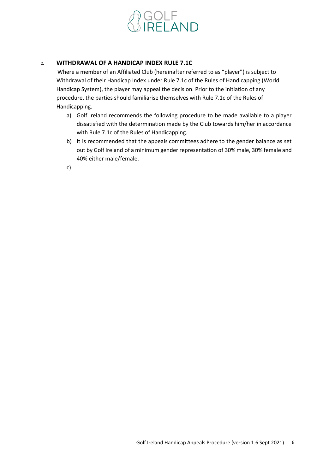

#### **2. WITHDRAWAL OF A HANDICAP INDEX RULE 7.1C**

Where a member of an Affiliated Club (hereinafter referred to as "player") is subject to Withdrawal of their Handicap Index under Rule 7.1c of the Rules of Handicapping (World Handicap System), the player may appeal the decision. Prior to the initiation of any procedure, the parties should familiarise themselves with Rule 7.1c of the Rules of Handicapping.

- a) Golf Ireland recommends the following procedure to be made available to a player dissatisfied with the determination made by the Club towards him/her in accordance with Rule 7.1c of the Rules of Handicapping.
- b) It is recommended that the appeals committees adhere to the gender balance as set out by Golf Ireland of a minimum gender representation of 30% male, 30% female and 40% either male/female.
- c)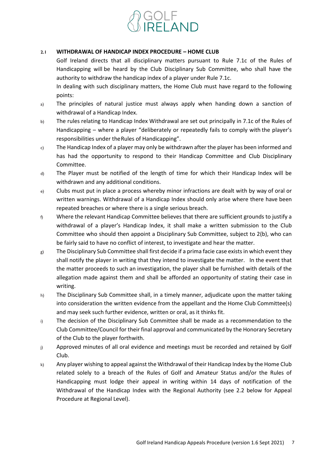

#### **2.1 WITHDRAWAL OF HANDICAP INDEX PROCEDURE – HOME CLUB**

Golf Ireland directs that all disciplinary matters pursuant to Rule 7.1c of the Rules of Handicapping will be heard by the Club Disciplinary Sub Committee, who shall have the authority to withdraw the handicap index of a player under Rule 7.1c.

In dealing with such disciplinary matters, the Home Club must have regard to the following points:

- a) The principles of natural justice must always apply when handing down a sanction of withdrawal of a Handicap Index.
- b) The rules relating to Handicap Index Withdrawal are set out principally in 7.1c of the Rules of Handicapping – where a player "deliberately or repeatedly fails to comply with the player's responsibilities under theRules of Handicapping".
- c) The Handicap Index of a player may only be withdrawn after the player has been informed and has had the opportunity to respond to their Handicap Committee and Club Disciplinary Committee.
- d) The Player must be notified of the length of time for which their Handicap Index will be withdrawn and any additional conditions.
- e) Clubs must put in place a process whereby minor infractions are dealt with by way of oral or written warnings. Withdrawal of a Handicap Index should only arise where there have been repeated breaches or where there is a single serious breach.
- $f<sub>0</sub>$  Where the relevant Handicap Committee believes that there are sufficient grounds to justify a withdrawal of a player's Handicap Index, it shall make a written submission to the Club Committee who should then appoint a Disciplinary Sub Committee, subject to 2(b), who can be fairly said to have no conflict of interest, to investigate and hear the matter.
- g) The Disciplinary Sub Committee shall first decide if a prima facie case exists in which event they shall notify the player in writing that they intend to investigate the matter. In the event that the matter proceeds to such an investigation, the player shall be furnished with details of the allegation made against them and shall be afforded an opportunity of stating their case in writing.
- h) The Disciplinary Sub Committee shall, in a timely manner, adjudicate upon the matter taking into consideration the written evidence from the appellant and the Home Club Committee(s) and may seek such further evidence, written or oral, as it thinks fit.
- i) The decision of the Disciplinary Sub Committee shall be made as a recommendation to the Club Committee/Council for their final approval and communicated by the Honorary Secretary of the Club to the player forthwith.
- j) Approved minutes of all oral evidence and meetings must be recorded and retained by Golf Club.
- $k$ ) Any player wishing to appeal against the Withdrawal of their Handicap Index by the Home Club related solely to a breach of the Rules of Golf and Amateur Status and/or the Rules of Handicapping must lodge their appeal in writing within 14 days of notification of the Withdrawal of the Handicap Index with the Regional Authority (see 2.2 below for Appeal Procedure at Regional Level).